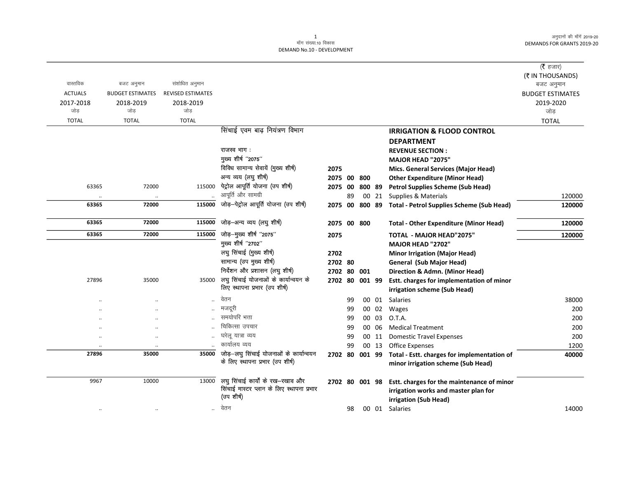$\overline{\phantom{0}}$ 

|                |                         |                          |                                           |         |    |                |       |                                                            | (रै हजार)<br>(₹ IN THOUSANDS) |
|----------------|-------------------------|--------------------------|-------------------------------------------|---------|----|----------------|-------|------------------------------------------------------------|-------------------------------|
| वास्तविक       | बजट अनुमान              | संशोधित अनुमान           |                                           |         |    |                |       |                                                            | बजट अनुमान                    |
| <b>ACTUALS</b> | <b>BUDGET ESTIMATES</b> | <b>REVISED ESTIMATES</b> |                                           |         |    |                |       |                                                            | <b>BUDGET ESTIMATES</b>       |
| 2017-2018      | 2018-2019               | 2018-2019                |                                           |         |    |                |       |                                                            | 2019-2020                     |
| जोड            | जोड                     | जोड                      |                                           |         |    |                |       |                                                            | जोड                           |
| <b>TOTAL</b>   | <b>TOTAL</b>            | <b>TOTAL</b>             |                                           |         |    |                |       |                                                            | <b>TOTAL</b>                  |
|                |                         |                          | सिंचाई एवम बाढ़ नियंत्रण विभाग            |         |    |                |       | <b>IRRIGATION &amp; FLOOD CONTROL</b>                      |                               |
|                |                         |                          |                                           |         |    |                |       | <b>DEPARTMENT</b>                                          |                               |
|                |                         |                          | राजस्व भाग:                               |         |    |                |       | <b>REVENUE SECTION:</b>                                    |                               |
|                |                         |                          | मुख्य शीर्ष "2075"                        |         |    |                |       | MAJOR HEAD "2075"                                          |                               |
|                |                         |                          | विविध सामान्य सेवायें (मुख्य शीर्ष)       | 2075    |    |                |       | Mics. General Services (Major Head)                        |                               |
|                |                         |                          | अन्य व्यय (लघु शीर्ष)                     | 2075 00 |    | 800            |       | <b>Other Expenditure (Minor Head)</b>                      |                               |
| 63365          | 72000                   | 115000                   | पेट्रोल आपूर्ति योजना (उप शीर्ष)          | 2075 00 |    | 800 89         |       | <b>Petrol Supplies Scheme (Sub Head)</b>                   |                               |
|                | $\ddot{\phantom{0}}$    |                          | आपूर्ति और सामग्री                        |         | 89 |                | 00 21 | Supplies & Materials                                       | 120000                        |
| 63365          | 72000                   | 115000                   | जोड़-पेट्रोल आपूर्ति योजना (उप शीर्ष)     |         |    |                |       | 2075 00 800 89 Total - Petrol Supplies Scheme (Sub Head)   | 120000                        |
| 63365          | 72000                   | 115000                   | जोड़–अन्य व्यय (लघु शीर्ष)                |         |    | 2075 00 800    |       | <b>Total - Other Expenditure (Minor Head)</b>              | 120000                        |
| 63365          | 72000                   | 115000                   | जोड़-मुख्य शीर्ष "2075"                   | 2075    |    |                |       | <b>TOTAL - MAJOR HEAD"2075"</b>                            | 120000                        |
|                |                         |                          | मुख्य शीर्ष "2702"                        |         |    |                |       | <b>MAJOR HEAD "2702"</b>                                   |                               |
|                |                         |                          | लघु सिंचाई (मुख्य शीर्ष)                  | 2702    |    |                |       | <b>Minor Irrigation (Major Head)</b>                       |                               |
|                |                         |                          | सामान्य (उप मुख्य शीर्ष)                  | 2702 80 |    |                |       | General (Sub Major Head)                                   |                               |
|                |                         |                          | निर्देशन और प्रशासन (लघु शीर्ष)           |         |    | 2702 80 001    |       | Direction & Admn. (Minor Head)                             |                               |
| 27896          | 35000                   | 35000                    | लघु सिंचाई योजनाओं के कार्यान्वयन के      |         |    | 2702 80 001 99 |       | Estt. charges for implementation of minor                  |                               |
|                |                         |                          | लिए स्थापना प्रभार (उप शीर्ष)             |         |    |                |       | irrigation scheme (Sub Head)                               |                               |
|                |                         |                          | वेतन                                      |         | 99 |                | 00 01 | Salaries                                                   | 38000                         |
|                |                         |                          | मजदूरी                                    |         | 99 |                | 00 02 | Wages                                                      | 200                           |
|                |                         |                          | समयोपरि भत्ता                             |         | 99 |                | 00 03 | O.T.A.                                                     | 200                           |
|                |                         |                          | चिकित्सा उपचार                            |         | 99 |                | 00 06 | <b>Medical Treatment</b>                                   | 200                           |
|                | $\cdot$                 |                          | घरेलू यात्रा व्यय                         |         | 99 |                | 00 11 | <b>Domestic Travel Expenses</b>                            | 200                           |
|                | $\ddotsc$               |                          | कार्यालय व्यय                             |         | 99 |                | 00 13 | <b>Office Expenses</b>                                     | 1200                          |
| 27896          | 35000                   | 35000                    | जोड़-लघु सिंचाई योजनाओं के कार्यान्वयन    |         |    |                |       | 2702 80 001 99 Total - Estt. charges for implementation of | 40000                         |
|                |                         |                          | के लिए स्थापना प्रभार (उप शीर्ष)          |         |    |                |       | minor irrigation scheme (Sub Head)                         |                               |
| 9967           | 10000                   | 13000                    | लघु सिंचाई कार्यों के रख-रखाव और          |         |    | 2702 80 001 98 |       | Estt. charges for the maintenance of minor                 |                               |
|                |                         |                          | सिंचाई मास्टर प्लान के लिए स्थापना प्रभार |         |    |                |       | irrigation works and master plan for                       |                               |
|                |                         |                          | (उप शीर्ष)                                |         |    |                |       | irrigation (Sub Head)                                      |                               |
| $\ddotsc$      |                         | $\ddotsc$                | वेतन                                      |         | 98 |                | 00 01 | Salaries                                                   | 14000                         |
|                |                         |                          |                                           |         |    |                |       |                                                            |                               |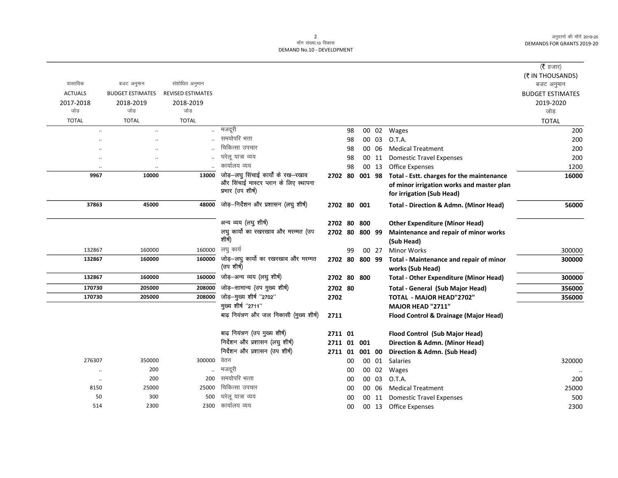$\overline{\phantom{0}}$ 

|                      |                         |                          |                                          |                |    |        |       |                                                                  | (रै हजार)               |
|----------------------|-------------------------|--------------------------|------------------------------------------|----------------|----|--------|-------|------------------------------------------------------------------|-------------------------|
|                      |                         |                          |                                          |                |    |        |       |                                                                  | (₹ IN THOUSANDS)        |
| वास्तविक             | बजट अनुमान              | संशोधित अनुमान           |                                          |                |    |        |       |                                                                  | बजट अनुमान              |
| <b>ACTUALS</b>       | <b>BUDGET ESTIMATES</b> | <b>REVISED ESTIMATES</b> |                                          |                |    |        |       |                                                                  | <b>BUDGET ESTIMATES</b> |
| 2017-2018<br>जोड़    | 2018-2019<br>जोड        | 2018-2019<br>जोड़        |                                          |                |    |        |       |                                                                  | 2019-2020<br>जोड        |
| <b>TOTAL</b>         | <b>TOTAL</b>            | <b>TOTAL</b>             |                                          |                |    |        |       |                                                                  | <b>TOTAL</b>            |
| $\ddot{\phantom{a}}$ | $\cdot$                 |                          | मजदूरी                                   |                | 98 |        |       | 00 02 Wages                                                      | 200                     |
| $\ddot{\phantom{0}}$ | $\cdot$                 |                          | समयोपरि भत्ता                            |                | 98 |        | 00 03 | O.T.A.                                                           | 200                     |
| $\cdot$              | $\cdot$                 |                          | चिकित्सा उपचार                           |                | 98 |        | 00 06 | <b>Medical Treatment</b>                                         | 200                     |
|                      | $\ddotsc$               |                          | घरेलू यात्रा व्यय                        |                | 98 |        | 00 11 | <b>Domestic Travel Expenses</b>                                  | 200                     |
|                      |                         |                          | कार्यालय व्यय                            |                | 98 |        | 00 13 | Office Expenses                                                  | 1200                    |
| 9967                 | 10000                   | 13000                    | जोड़-लघु सिंचाई कार्यों के रख-रखाव       | 2702 80        |    | 001 98 |       | Total - Estt. charges for the maintenance                        | 16000                   |
|                      |                         |                          | और सिंचाई मास्टर प्लान के लिए स्थापना    |                |    |        |       | of minor irrigation works and master plan                        |                         |
|                      |                         |                          | प्रभार (उप शीर्ष)                        |                |    |        |       | for irrigation (Sub Head)                                        |                         |
| 37863                | 45000                   | 48000                    | जोड़-निर्देशन और प्रशासन (लघु शीर्ष)     | 2702 80 001    |    |        |       | <b>Total - Direction &amp; Admn. (Minor Head)</b>                | 56000                   |
|                      |                         |                          |                                          |                |    |        |       |                                                                  |                         |
|                      |                         |                          | अन्य व्यय (लघु शीर्ष)                    | 2702 80 800    |    |        |       | <b>Other Expenditure (Minor Head)</b>                            |                         |
|                      |                         |                          | लघु कार्यो का रखरखाव और मरम्मत (उप       | 2702 80 800 99 |    |        |       | Maintenance and repair of minor works                            |                         |
|                      |                         |                          | शीर्ष)                                   |                |    |        |       | (Sub Head)                                                       |                         |
| 132867               | 160000                  | 160000                   | लघु कार्य                                |                | 99 |        | 00 27 | <b>Minor Works</b>                                               | 300000                  |
| 132867               | 160000                  | 160000                   | जोड़-लघु कार्यो का रखरखाव और मरम्मत      | 2702 80        |    | 800 99 |       | Total - Maintenance and repair of minor                          | 300000                  |
|                      |                         |                          | (उप शीर्ष)                               |                |    |        |       | works (Sub Head)                                                 |                         |
| 132867               | 160000                  | 160000                   | जोड़-अन्य व्यय (लघु शीर्ष)               | 2702 80 800    |    |        |       | <b>Total - Other Expenditure (Minor Head)</b>                    | 300000                  |
| 170730               | 205000                  | 208000                   | जोड़-सामान्य (उप मुख्य शीर्ष)            | 2702 80        |    |        |       | <b>Total - General (Sub Major Head)</b>                          | 356000                  |
| 170730               | 205000                  | 208000                   | जोड़-मुख्य शीर्ष "2702"                  | 2702           |    |        |       | <b>TOTAL - MAJOR HEAD"2702"</b>                                  | 356000                  |
|                      |                         |                          | मुख्य शीर्ष "2711"                       |                |    |        |       | MAJOR HEAD "2711"                                                |                         |
|                      |                         |                          | बाढ़ नियंत्रण और जल निकासी (मुख्य शीर्ष) | 2711           |    |        |       | Flood Control & Drainage (Major Head)                            |                         |
|                      |                         |                          | बाढ़ नियंत्रण (उप मुख्य शीर्ष)           | 2711 01        |    |        |       |                                                                  |                         |
|                      |                         |                          | निर्देशन और प्रशासन (लघु शीर्ष)          | 2711 01 001    |    |        |       | Flood Control (Sub Major Head)<br>Direction & Admn. (Minor Head) |                         |
|                      |                         |                          | निर्देशन और प्रशासन (उप शीर्ष)           | 2711 01 001 00 |    |        |       | Direction & Admn. (Sub Head)                                     |                         |
| 276307               | 350000                  | 300000                   | वेतन                                     |                | 00 |        |       | 00 01 Salaries                                                   | 320000                  |
| $\ddotsc$            | 200                     |                          | मजदूरी                                   |                | 00 |        | 00 02 | Wages                                                            |                         |
| $\ldots$             | 200                     | 200                      | समयोपरि भत्ता                            |                | 00 |        | 00 03 | O.T.A.                                                           | 200                     |
| 8150                 | 25000                   | 25000                    | चिकित्सा उपचार                           |                | 00 |        | 00 06 | <b>Medical Treatment</b>                                         | 25000                   |
| 50                   | 300                     | 500                      | घरेलू यात्रा व्यय                        |                | 00 |        | 00 11 | <b>Domestic Travel Expenses</b>                                  | 500                     |
| 514                  | 2300                    | 2300                     | कार्यालय व्यय                            |                | 00 |        |       | 00 13 Office Expenses                                            | 2300                    |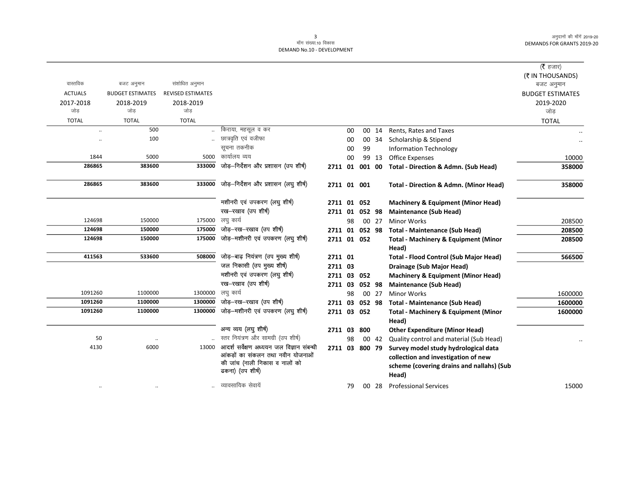|                |                         |                          |                                                    |                |    |        |       |                                                          | ( $\bar{\tau}$ हजार)           |
|----------------|-------------------------|--------------------------|----------------------------------------------------|----------------|----|--------|-------|----------------------------------------------------------|--------------------------------|
| वास्तविक       | बजट अनुमान              | संशोधित अनुमान           |                                                    |                |    |        |       |                                                          | (₹ IN THOUSANDS)<br>बजट अनुमान |
| <b>ACTUALS</b> | <b>BUDGET ESTIMATES</b> | <b>REVISED ESTIMATES</b> |                                                    |                |    |        |       |                                                          | <b>BUDGET ESTIMATES</b>        |
| 2017-2018      | 2018-2019               | 2018-2019                |                                                    |                |    |        |       |                                                          | 2019-2020                      |
| जोड            | जोड                     | जोड                      |                                                    |                |    |        |       |                                                          | जोड                            |
| <b>TOTAL</b>   | <b>TOTAL</b>            | <b>TOTAL</b>             |                                                    |                |    |        |       |                                                          | <b>TOTAL</b>                   |
|                | 500                     |                          | किराया, महसूल व कर                                 |                | 00 |        | 00 14 | Rents, Rates and Taxes                                   |                                |
|                | 100                     |                          | छात्रवृति एवं वजीफा                                |                | 00 |        | 00 34 | Scholarship & Stipend                                    |                                |
|                |                         |                          | सूचना तकनीक                                        |                | 00 | 99     |       | <b>Information Technology</b>                            |                                |
| 1844           | 5000                    | 5000                     | कार्यालय व्यय                                      |                | 00 |        | 99 13 | <b>Office Expenses</b>                                   | 10000                          |
| 286865         | 383600                  | 333000                   | जोड़-निर्देशन और प्रशासन (उप शीर्ष)                | 2711 01        |    | 001 00 |       | Total - Direction & Admn. (Sub Head)                     | 358000                         |
| 286865         | 383600                  | 333000                   | जोड़-निर्देशन और प्रशासन (लघु शीर्ष)               | 2711 01 001    |    |        |       | Total - Direction & Admn. (Minor Head)                   | 358000                         |
|                |                         |                          | मशीनरी एवं उपकरण (लघु शीर्ष)                       | 2711 01 052    |    |        |       | <b>Machinery &amp; Equipment (Minor Head)</b>            |                                |
|                |                         |                          | रख-रखाव (उप शीर्ष)                                 | 2711 01 052 98 |    |        |       | <b>Maintenance (Sub Head)</b>                            |                                |
| 124698         | 150000                  | 175000                   | लघु कार्य                                          |                | 98 |        | 00 27 | <b>Minor Works</b>                                       | 208500                         |
| 124698         | 150000                  | 175000                   | जोड़-रख-रखाव (उप शीर्ष)                            | 2711 01 052 98 |    |        |       | <b>Total - Maintenance (Sub Head)</b>                    | 208500                         |
| 124698         | 150000                  | 175000                   | जोड़-मशीनरी एवं उपकरण (लघु शीर्ष)                  | 2711 01 052    |    |        |       | <b>Total - Machinery &amp; Equipment (Minor</b>          | 208500                         |
|                |                         |                          |                                                    |                |    |        |       | Head)                                                    |                                |
| 411563         | 533600                  | 508000                   | जोड़-बाढ़ नियंत्रण (उप मुख्य शीर्ष)                | 2711 01        |    |        |       | <b>Total - Flood Control (Sub Major Head)</b>            | 566500                         |
|                |                         |                          | जल निकासी (उप मुख्य शीर्ष)                         | 2711 03        |    |        |       | <b>Drainage (Sub Major Head)</b>                         |                                |
|                |                         |                          | मशीनरी एवं उपकरण (लघु शीर्ष)                       | 2711 03 052    |    |        |       | <b>Machinery &amp; Equipment (Minor Head)</b>            |                                |
|                |                         |                          | रख-रखाव (उप शीर्ष)                                 | 2711 03        |    | 052 98 |       | <b>Maintenance (Sub Head)</b>                            |                                |
| 1091260        | 1100000                 | 1300000                  | लघु कार्य                                          |                | 98 |        | 00 27 | <b>Minor Works</b>                                       | 1600000                        |
| 1091260        | 1100000                 | 1300000                  | जोड़-रख-रखाव (उप शीर्ष)                            | 2711 03        |    | 052 98 |       | <b>Total - Maintenance (Sub Head)</b>                    | 1600000                        |
| 1091260        | 1100000                 | 1300000                  | जोड़—मशीनरी एवं उपकरण (लघु शीर्ष)                  | 2711 03 052    |    |        |       | <b>Total - Machinery &amp; Equipment (Minor</b><br>Head) | 1600000                        |
|                |                         |                          | अन्य व्यय (लघु शीर्ष)                              | 2711 03        |    | 800    |       | <b>Other Expenditure (Minor Head)</b>                    |                                |
| 50             | $\ddot{\phantom{0}}$    |                          | स्तर नियंत्रण और सामग्री (उप शीर्ष)                |                | 98 |        | 00 42 | Quality control and material (Sub Head)                  |                                |
| 4130           | 6000                    | 13000                    | आदर्श सर्वेक्षण अध्ययन जल विज्ञान संबन्धी          | 2711 03 800 79 |    |        |       | Survey model study hydrological data                     |                                |
|                |                         |                          | आंकडों का संकलन तथा नवीन योजनाओं                   |                |    |        |       | collection and investigation of new                      |                                |
|                |                         |                          | की जांच (नाली निकास व नालों को<br>ढकना) (उप शीर्ष) |                |    |        |       | scheme (covering drains and nallahs) (Sub<br>Head)       |                                |
| $\ddotsc$      |                         |                          | व्यावसायिक सेवायें                                 |                | 79 |        | 00 28 | <b>Professional Services</b>                             | 15000                          |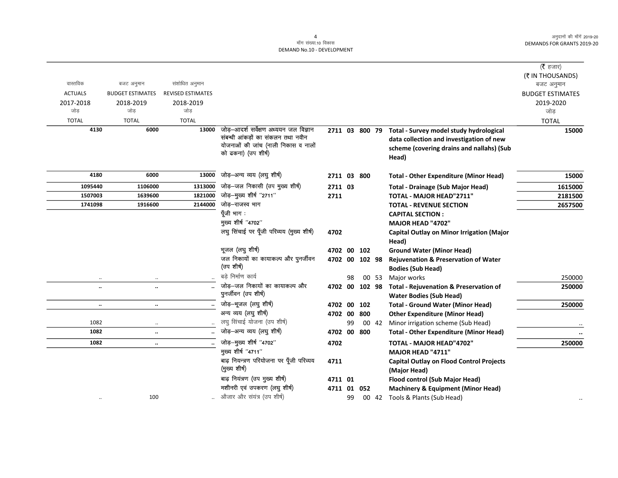|                |                         |                          |                                                            |                |    |     |       |                                                   | (रै हजार)               |
|----------------|-------------------------|--------------------------|------------------------------------------------------------|----------------|----|-----|-------|---------------------------------------------------|-------------------------|
|                |                         |                          |                                                            |                |    |     |       |                                                   | (₹ IN THOUSANDS)        |
| वास्तविक       | बजट अनुमान              | संशोधित अनुमान           |                                                            |                |    |     |       |                                                   | बजट अनुमान              |
| <b>ACTUALS</b> | <b>BUDGET ESTIMATES</b> | <b>REVISED ESTIMATES</b> |                                                            |                |    |     |       |                                                   | <b>BUDGET ESTIMATES</b> |
| 2017-2018      | 2018-2019               | 2018-2019                |                                                            |                |    |     |       |                                                   | 2019-2020               |
| जोड़           | जोड                     | जोड                      |                                                            |                |    |     |       |                                                   | जोड                     |
| <b>TOTAL</b>   | <b>TOTAL</b>            | <b>TOTAL</b>             |                                                            |                |    |     |       |                                                   | <b>TOTAL</b>            |
| 4130           | 6000                    | 13000                    | जोड़-आदर्श सर्वेक्षण अध्ययन जल विज्ञान                     | 2711 03 800 79 |    |     |       | Total - Survey model study hydrological           | 15000                   |
|                |                         |                          | संबन्धी आंकड़ों का संकलन तथा नवीन                          |                |    |     |       | data collection and investigation of new          |                         |
|                |                         |                          | योजनाओं की जांच (नाली निकास व नालों<br>को ढकना) (उप शीर्ष) |                |    |     |       | scheme (covering drains and nallahs) (Sub         |                         |
|                |                         |                          |                                                            |                |    |     |       | Head)                                             |                         |
| 4180           | 6000                    | 13000                    | जोड़-अन्य व्यय (लघु शीर्ष)                                 | 2711 03 800    |    |     |       | <b>Total - Other Expenditure (Minor Head)</b>     | 15000                   |
| 1095440        | 1106000                 | 1313000                  | जोड़–जल निकासी (उप मुख्य शीर्ष)                            | 2711 03        |    |     |       | <b>Total - Drainage (Sub Major Head)</b>          | 1615000                 |
| 1507003        | 1639600                 | 1821000                  | जोड़-मुख्य शीर्ष "2711"                                    | 2711           |    |     |       | TOTAL - MAJOR HEAD"2711"                          | 2181500                 |
| 1741098        | 1916600                 | 2144000                  | जोड़–राजस्व भाग                                            |                |    |     |       | <b>TOTAL - REVENUE SECTION</b>                    | 2657500                 |
|                |                         |                          | पूँजी भाग :                                                |                |    |     |       | <b>CAPITAL SECTION:</b>                           |                         |
|                |                         |                          | मुख्य शीर्ष "4702"                                         |                |    |     |       | <b>MAJOR HEAD "4702"</b>                          |                         |
|                |                         |                          | लघु सिंचाई पर पूँजी परिव्यय (मुख्य शीर्ष)                  | 4702           |    |     |       | Capital Outlay on Minor Irrigation (Major         |                         |
|                |                         |                          |                                                            |                |    |     |       | Head)                                             |                         |
|                |                         |                          | भूजल (लघु शीर्ष)                                           | 4702 00 102    |    |     |       | <b>Ground Water (Minor Head)</b>                  |                         |
|                |                         |                          | जल निकायों का कायाकल्प और पुनर्जीवन                        | 4702 00 102 98 |    |     |       | <b>Rejuvenation &amp; Preservation of Water</b>   |                         |
|                |                         |                          | (उप शीर्ष)                                                 |                |    |     |       | <b>Bodies (Sub Head)</b>                          |                         |
| $\ddotsc$      | $\cdot$ .               |                          | बडे निर्माण कार्य                                          |                | 98 |     | 00 53 | Major works                                       | 250000                  |
| $\ldots$       |                         |                          | जोड़—जल निकायों का कायाकल्प और                             | 4702 00 102 98 |    |     |       | <b>Total - Rejuvenation &amp; Preservation of</b> | 250000                  |
|                |                         |                          | पुनर्जीवन (उप शीर्ष)                                       |                |    |     |       | <b>Water Bodies (Sub Head)</b>                    |                         |
| $\ddotsc$      | $\ddotsc$               |                          | जोड़-भूजल (लघु शीर्ष)                                      | 4702 00        |    | 102 |       | <b>Total - Ground Water (Minor Head)</b>          | 250000                  |
|                |                         |                          | अन्य व्यय (लघु शीर्ष)                                      | 4702 00 800    |    |     |       | <b>Other Expenditure (Minor Head)</b>             |                         |
| 1082           | $\cdot$ .               |                          | लघु सिंचाई योजना (उप शीर्ष)                                |                | 99 |     | 00 42 | Minor irrigation scheme (Sub Head)                |                         |
| 1082           |                         |                          | जोड़–अन्य व्यय (लघु शीर्ष)                                 | 4702 00 800    |    |     |       | <b>Total - Other Expenditure (Minor Head)</b>     | $\cdot\cdot$            |
| 1082           | $\cdot\cdot$            |                          | जोड़-मुख्य शीर्ष "4702"                                    | 4702           |    |     |       | <b>TOTAL - MAJOR HEAD"4702"</b>                   | 250000                  |
|                |                         |                          | मुख्य शीर्ष "4711"                                         |                |    |     |       | MAJOR HEAD "4711"                                 |                         |
|                |                         |                          | बाढ़ नियन्त्रण परियोजना पर पूँजी परिव्यय                   | 4711           |    |     |       | <b>Capital Outlay on Flood Control Projects</b>   |                         |
|                |                         |                          | (मुख्य शीर्ष)                                              |                |    |     |       | (Major Head)                                      |                         |
|                |                         |                          | बाढ़ नियंत्रण (उप मुख्य शीर्ष)                             | 4711 01        |    |     |       | Flood control (Sub Major Head)                    |                         |
|                |                         |                          | मशीनरी एवं उपकरण (लघु शीर्ष)                               | 4711 01 052    |    |     |       | <b>Machinery &amp; Equipment (Minor Head)</b>     |                         |
| $\ddotsc$      | 100                     |                          | औजार और संयंत्र (उप शीर्ष)                                 |                | 99 |     | 00 42 | Tools & Plants (Sub Head)                         |                         |
|                |                         |                          |                                                            |                |    |     |       |                                                   |                         |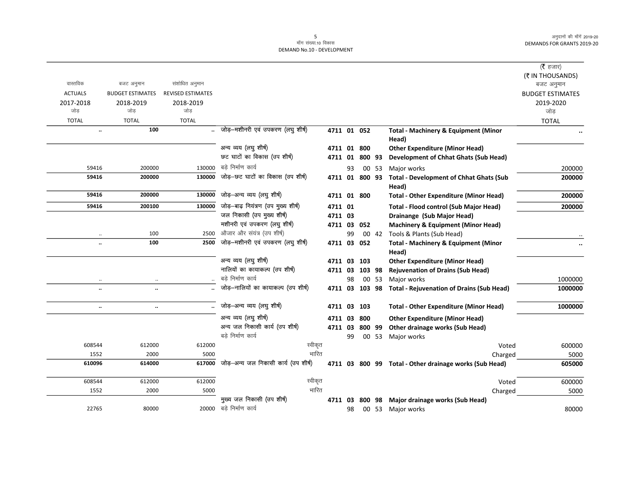|                      |                         |                          |                                      |                |    |                |       |                                                          | ( $\bar{\tau}$ हजार)    |
|----------------------|-------------------------|--------------------------|--------------------------------------|----------------|----|----------------|-------|----------------------------------------------------------|-------------------------|
|                      |                         |                          |                                      |                |    |                |       |                                                          | (₹ IN THOUSANDS)        |
| वास्तविक             | बजट अनुमान              | संशोधित अनुमान           |                                      |                |    |                |       |                                                          | बजट अनुमान              |
| <b>ACTUALS</b>       | <b>BUDGET ESTIMATES</b> | <b>REVISED ESTIMATES</b> |                                      |                |    |                |       |                                                          | <b>BUDGET ESTIMATES</b> |
| 2017-2018            | 2018-2019               | 2018-2019                |                                      |                |    |                |       |                                                          | 2019-2020               |
| जोड                  | जोड                     | जोड                      |                                      |                |    |                |       |                                                          | जोड                     |
| <b>TOTAL</b>         | <b>TOTAL</b>            | <b>TOTAL</b>             |                                      |                |    |                |       |                                                          | <b>TOTAL</b>            |
| $\ddot{\phantom{0}}$ | 100                     |                          | जोड़–मशीनरी एवं उपकरण (लघु शीर्ष)    | 4711 01 052    |    |                |       | <b>Total - Machinery &amp; Equipment (Minor</b>          |                         |
|                      |                         |                          |                                      |                |    |                |       | Head)                                                    |                         |
|                      |                         |                          | अन्य व्यय (लघु शीर्ष)                | 4711 01 800    |    |                |       | <b>Other Expenditure (Minor Head)</b>                    |                         |
|                      |                         |                          | छट घाटों का विकास (उप शीर्ष)         |                |    | 4711 01 800 93 |       | <b>Development of Chhat Ghats (Sub Head)</b>             |                         |
| 59416                | 200000                  | 130000                   | बडे निर्माण कार्य                    |                | 93 |                | 00 53 | Major works                                              | 200000                  |
| 59416                | 200000                  | 130000                   | जोड़-छट घाटों का विकास (उप शीर्ष)    | 4711 01        |    | 800 93         |       | <b>Total - Development of Chhat Ghats (Sub</b>           | 200000                  |
|                      |                         |                          |                                      |                |    |                |       | Head)                                                    |                         |
| 59416                | 200000                  | 130000                   | जोड़-अन्य व्यय (लघु शीर्ष)           | 4711 01 800    |    |                |       | <b>Total - Other Expenditure (Minor Head)</b>            | 200000                  |
| 59416                | 200100                  | 130000                   | जोड़-बाढ़ नियंत्रण (उप मुख्य शीर्ष)  | 4711 01        |    |                |       | <b>Total - Flood control (Sub Major Head)</b>            | 200000                  |
|                      |                         |                          | जल निकासी (उप मुख्य शीर्ष)           | 4711 03        |    |                |       | Drainange (Sub Major Head)                               |                         |
|                      |                         |                          | मशीनरी एवं उपकरण (लघु शीर्ष)         | 4711 03 052    |    |                |       | <b>Machinery &amp; Equipment (Minor Head)</b>            |                         |
| $\ldots$             | 100                     | 2500                     | औजार और संयंत्र (उप शीर्ष)           |                | 99 |                | 00 42 | Tools & Plants (Sub Head)                                |                         |
| $\ddot{\phantom{0}}$ | 100                     | 2500                     | जोड़-मशीनरी एवं उपकरण (लघु शीर्ष)    | 4711 03        |    | 052            |       | <b>Total - Machinery &amp; Equipment (Minor</b><br>Head) |                         |
|                      |                         |                          | अन्य व्यय (लघु शीर्ष)                | 4711 03        |    | 103            |       | <b>Other Expenditure (Minor Head)</b>                    |                         |
|                      |                         |                          | नालियों का कायाकल्प (उप शीर्ष)       | 4711 03        |    | 103 98         |       | <b>Rejuvenation of Drains (Sub Head)</b>                 |                         |
| $\ldots$             | $\ldots$                |                          | बडे निर्माण कार्य                    |                | 98 |                | 00 53 | Major works                                              | 1000000                 |
| $\ddot{\phantom{0}}$ | н.                      |                          | जोड़-नालियों का कायाकल्प (उप शीर्ष)  | 4711 03 103 98 |    |                |       | <b>Total - Rejuvenation of Drains (Sub Head)</b>         | 1000000                 |
|                      |                         |                          |                                      |                |    |                |       |                                                          |                         |
| $\ldots$             | $\cdot\cdot$            |                          | जोड़-अन्य व्यय (लघु शीर्ष)           | 4711 03        |    | 103            |       | <b>Total - Other Expenditure (Minor Head)</b>            | 1000000                 |
|                      |                         |                          | अन्य व्यय (लघु शीर्ष)                | 4711 03        |    | 800            |       | <b>Other Expenditure (Minor Head)</b>                    |                         |
|                      |                         |                          | अन्य जल निकासी कार्य (उप शीषे)       | 4711 03        |    | 800 99         |       | <b>Other drainage works (Sub Head)</b>                   |                         |
|                      |                         |                          | बडे निर्माण कार्य                    |                | 99 |                | 00 53 | Major works                                              |                         |
| 608544               | 612000                  | 612000                   | स्वीकृत                              |                |    |                |       | Voted                                                    | 600000                  |
| 1552                 | 2000                    | 5000                     | भारित                                |                |    |                |       | Charged                                                  | 5000                    |
| 610096               | 614000                  | 617000                   | जोड़—अन्य जल निकासी कार्य (उप शीर्ष) |                |    |                |       | 4711 03 800 99 Total - Other drainage works (Sub Head)   | 605000                  |
| 608544               | 612000                  | 612000                   | स्वीकृत                              |                |    |                |       | Voted                                                    | 600000                  |
| 1552                 | 2000                    | 5000                     | भारित                                |                |    |                |       | Charged                                                  | 5000                    |
|                      |                         |                          | मुख्य जल निकासी (उप शीर्ष)           | 4711 03        |    | 800 98         |       | Major drainage works (Sub Head)                          |                         |
| 22765                | 80000                   |                          | 20000 बडे निर्माण कार्य              |                | 98 |                |       | 00 53 Major works                                        | 80000                   |